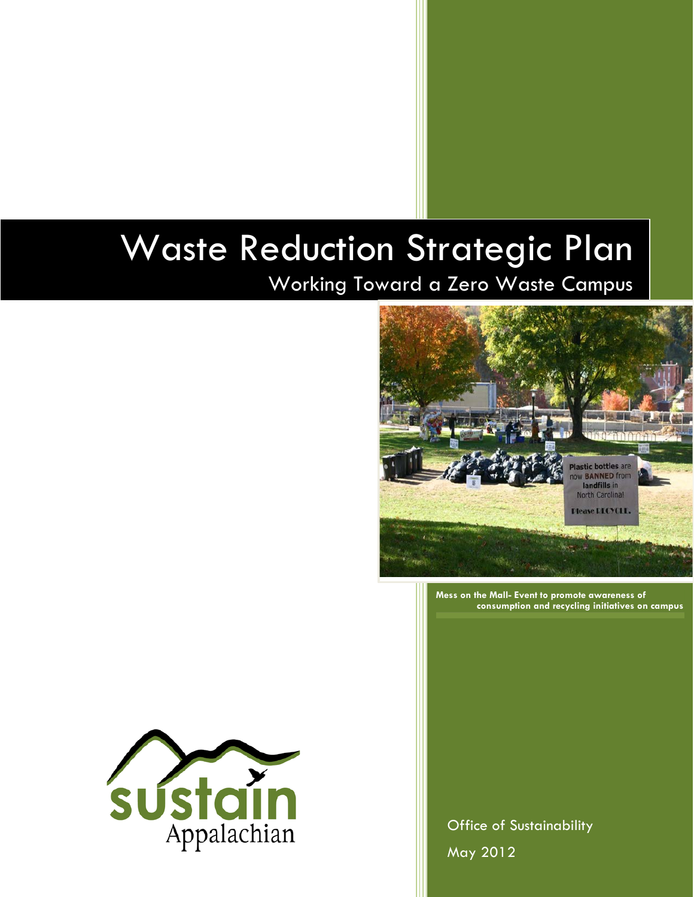# Waste Reduction Strategic Plan

Working Toward a Zero Waste Campus



**Mess on the Mall- Event to promote awareness of consumption and recycling initiatives on campus**



**Office of Sustainability** May 2012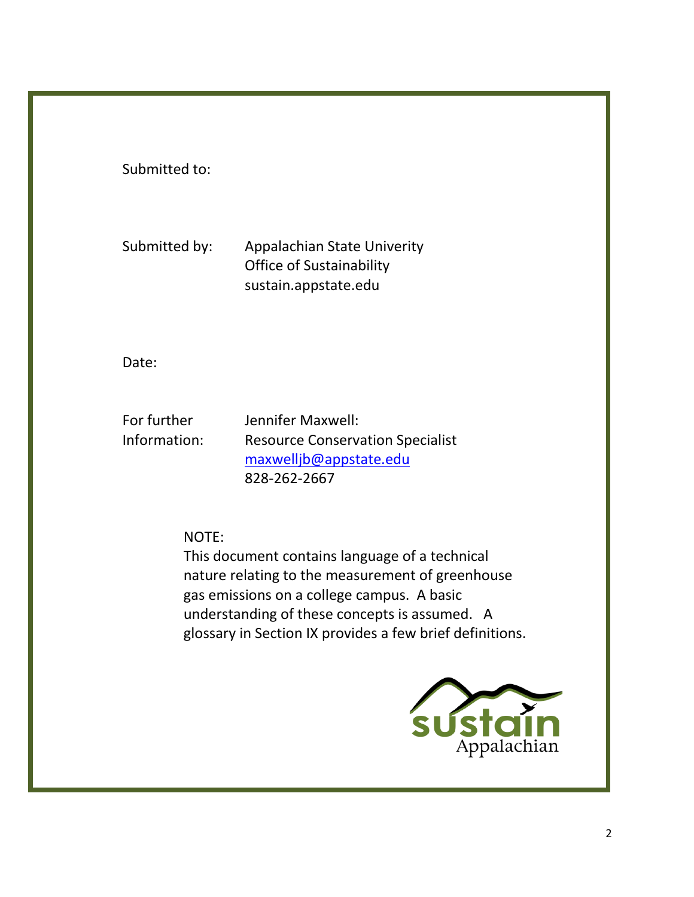Submitted to:

Submitted by: Appalachian State Univerity Office of Sustainability sustain.appstate.edu

Date:

For further Jennifer Maxwell:

Information: Resource Conservation Specialist [maxwelljb@appstate.edu](mailto:maxwelljb@appstate.edu) 828-262-2667

NOTE:

This document contains language of a technical nature relating to the measurement of greenhouse gas emissions on a college campus. A basic understanding of these concepts is assumed. A glossary in Section IX provides a few brief definitions.

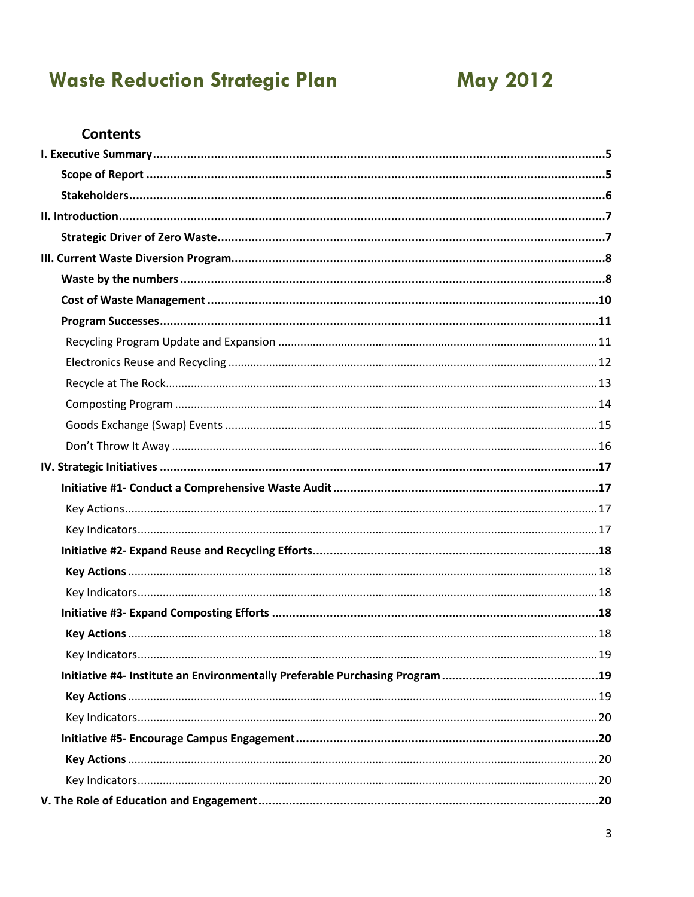# **Waste Reduction Strategic Plan**

### **May 2012**

#### **Contents**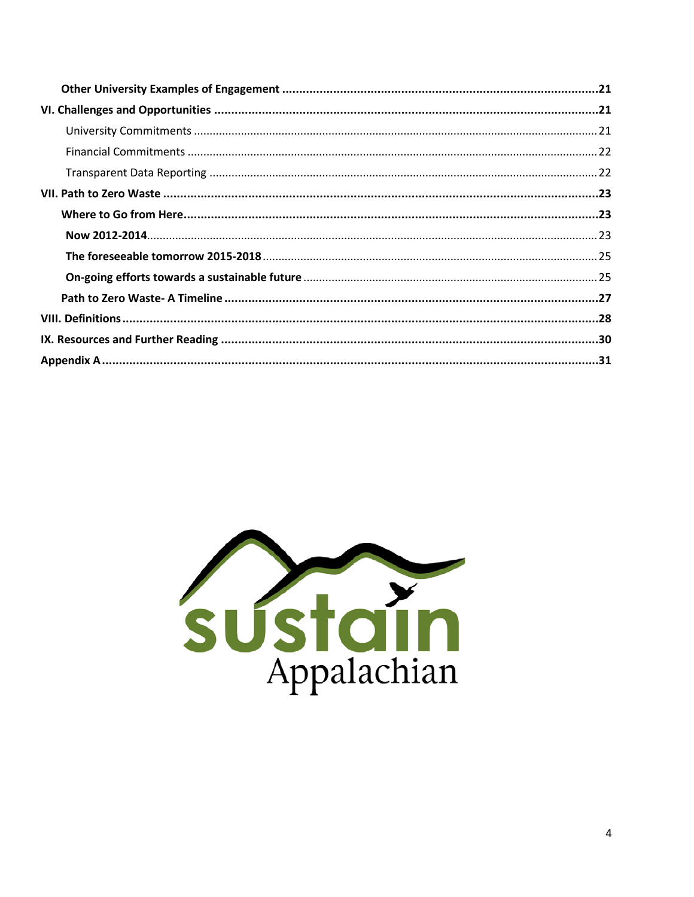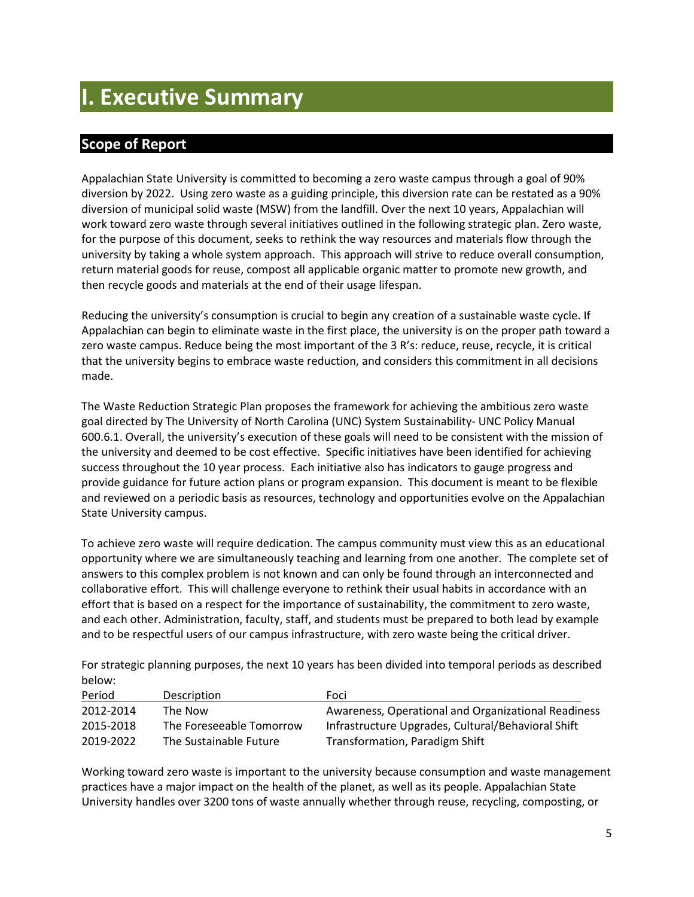### <span id="page-4-0"></span>**I. Executive Summary**

#### <span id="page-4-1"></span>**Scope of Report**

Appalachian State University is committed to becoming a zero waste campus through a goal of 90% diversion by 2022. Using zero waste as a guiding principle, this diversion rate can be restated as a 90% diversion of municipal solid waste (MSW) from the landfill. Over the next 10 years, Appalachian will work toward zero waste through several initiatives outlined in the following strategic plan. Zero waste, for the purpose of this document, seeks to rethink the way resources and materials flow through the university by taking a whole system approach. This approach will strive to reduce overall consumption, return material goods for reuse, compost all applicable organic matter to promote new growth, and then recycle goods and materials at the end of their usage lifespan.

Reducing the university's consumption is crucial to begin any creation of a sustainable waste cycle. If Appalachian can begin to eliminate waste in the first place, the university is on the proper path toward a zero waste campus. Reduce being the most important of the 3 R's: reduce, reuse, recycle, it is critical that the university begins to embrace waste reduction, and considers this commitment in all decisions made.

The Waste Reduction Strategic Plan proposes the framework for achieving the ambitious zero waste goal directed by The University of North Carolina (UNC) System Sustainability- UNC Policy Manual 600.6.1. Overall, the university's execution of these goals will need to be consistent with the mission of the university and deemed to be cost effective. Specific initiatives have been identified for achieving success throughout the 10 year process. Each initiative also has indicators to gauge progress and provide guidance for future action plans or program expansion. This document is meant to be flexible and reviewed on a periodic basis as resources, technology and opportunities evolve on the Appalachian State University campus.

To achieve zero waste will require dedication. The campus community must view this as an educational opportunity where we are simultaneously teaching and learning from one another. The complete set of answers to this complex problem is not known and can only be found through an interconnected and collaborative effort. This will challenge everyone to rethink their usual habits in accordance with an effort that is based on a respect for the importance of sustainability, the commitment to zero waste, and each other. Administration, faculty, staff, and students must be prepared to both lead by example and to be respectful users of our campus infrastructure, with zero waste being the critical driver.

For strategic planning purposes, the next 10 years has been divided into temporal periods as described below:

| Period    | Description              | Foci                                                |
|-----------|--------------------------|-----------------------------------------------------|
| 2012-2014 | The Now                  | Awareness, Operational and Organizational Readiness |
| 2015-2018 | The Foreseeable Tomorrow | Infrastructure Upgrades, Cultural/Behavioral Shift  |
| 2019-2022 | The Sustainable Future   | Transformation, Paradigm Shift                      |

Working toward zero waste is important to the university because consumption and waste management practices have a major impact on the health of the planet, as well as its people. Appalachian State University handles over 3200 tons of waste annually whether through reuse, recycling, composting, or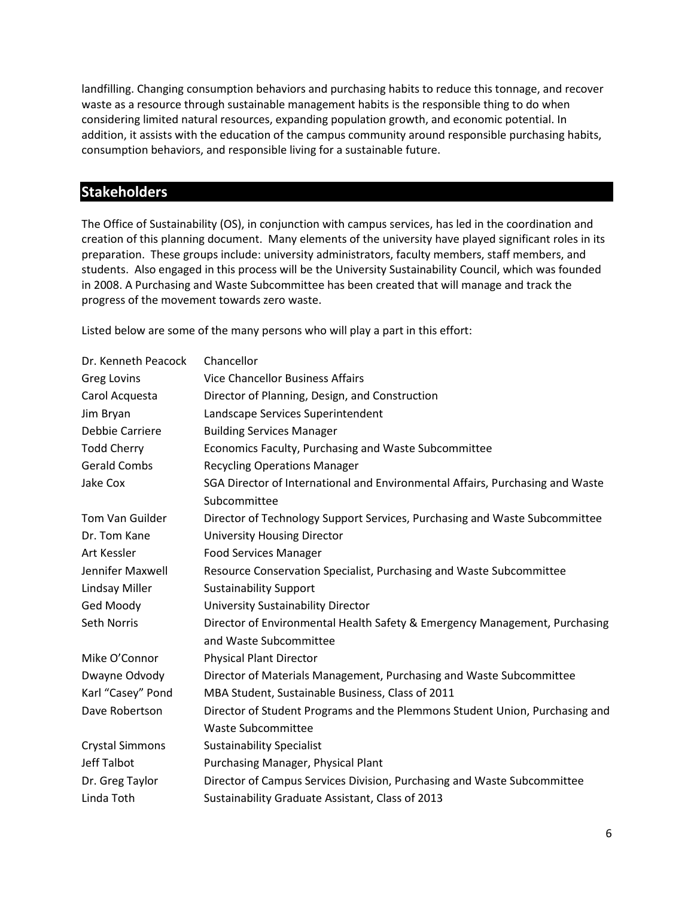landfilling. Changing consumption behaviors and purchasing habits to reduce this tonnage, and recover waste as a resource through sustainable management habits is the responsible thing to do when considering limited natural resources, expanding population growth, and economic potential. In addition, it assists with the education of the campus community around responsible purchasing habits, consumption behaviors, and responsible living for a sustainable future.

#### <span id="page-5-0"></span>**Stakeholders**

The Office of Sustainability (OS), in conjunction with campus services, has led in the coordination and creation of this planning document. Many elements of the university have played significant roles in its preparation. These groups include: university administrators, faculty members, staff members, and students. Also engaged in this process will be the University Sustainability Council, which was founded in 2008. A Purchasing and Waste Subcommittee has been created that will manage and track the progress of the movement towards zero waste.

Listed below are some of the many persons who will play a part in this effort:

| Dr. Kenneth Peacock    | Chancellor                                                                    |  |  |
|------------------------|-------------------------------------------------------------------------------|--|--|
| <b>Greg Lovins</b>     | <b>Vice Chancellor Business Affairs</b>                                       |  |  |
| Carol Acquesta         | Director of Planning, Design, and Construction                                |  |  |
| Jim Bryan              | Landscape Services Superintendent                                             |  |  |
| Debbie Carriere        | <b>Building Services Manager</b>                                              |  |  |
| <b>Todd Cherry</b>     | Economics Faculty, Purchasing and Waste Subcommittee                          |  |  |
| <b>Gerald Combs</b>    | <b>Recycling Operations Manager</b>                                           |  |  |
| Jake Cox               | SGA Director of International and Environmental Affairs, Purchasing and Waste |  |  |
|                        | Subcommittee                                                                  |  |  |
| Tom Van Guilder        | Director of Technology Support Services, Purchasing and Waste Subcommittee    |  |  |
| Dr. Tom Kane           | <b>University Housing Director</b>                                            |  |  |
| Art Kessler            | <b>Food Services Manager</b>                                                  |  |  |
| Jennifer Maxwell       | Resource Conservation Specialist, Purchasing and Waste Subcommittee           |  |  |
| <b>Lindsay Miller</b>  | <b>Sustainability Support</b>                                                 |  |  |
| Ged Moody              | University Sustainability Director                                            |  |  |
| Seth Norris            | Director of Environmental Health Safety & Emergency Management, Purchasing    |  |  |
|                        | and Waste Subcommittee                                                        |  |  |
| Mike O'Connor          | <b>Physical Plant Director</b>                                                |  |  |
| Dwayne Odvody          | Director of Materials Management, Purchasing and Waste Subcommittee           |  |  |
| Karl "Casey" Pond      | MBA Student, Sustainable Business, Class of 2011                              |  |  |
| Dave Robertson         | Director of Student Programs and the Plemmons Student Union, Purchasing and   |  |  |
|                        | <b>Waste Subcommittee</b>                                                     |  |  |
| <b>Crystal Simmons</b> | <b>Sustainability Specialist</b>                                              |  |  |
| Jeff Talbot            | Purchasing Manager, Physical Plant                                            |  |  |
| Dr. Greg Taylor        | Director of Campus Services Division, Purchasing and Waste Subcommittee       |  |  |
| Linda Toth             | Sustainability Graduate Assistant, Class of 2013                              |  |  |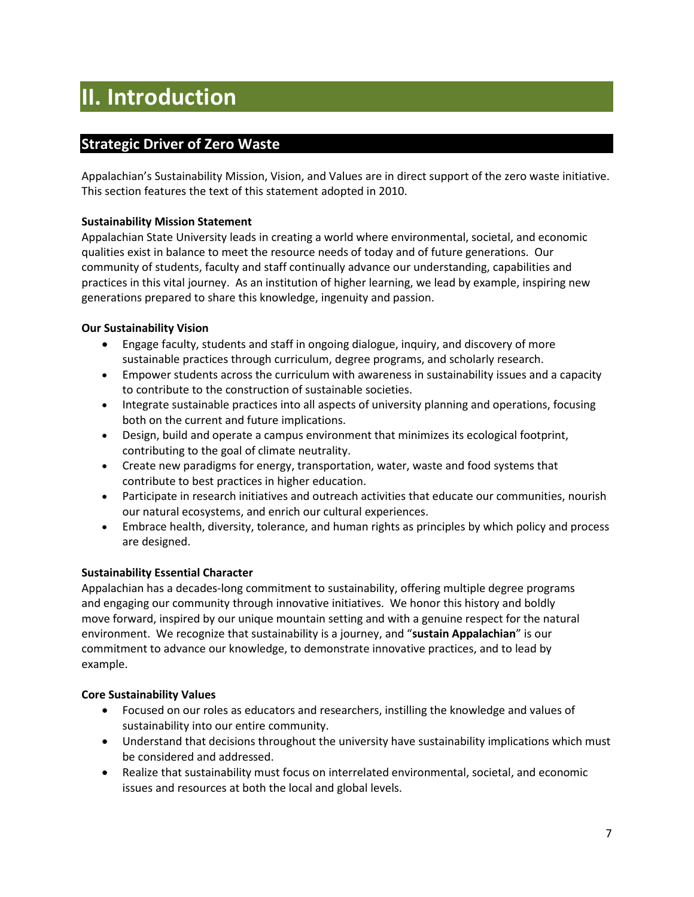# <span id="page-6-0"></span>**II. Introduction**

#### <span id="page-6-1"></span>**Strategic Driver of Zero Waste**

Appalachian's Sustainability Mission, Vision, and Values are in direct support of the zero waste initiative. This section features the text of this statement adopted in 2010.

#### **Sustainability Mission Statement**

Appalachian State University leads in creating a world where environmental, societal, and economic qualities exist in balance to meet the resource needs of today and of future generations. Our community of students, faculty and staff continually advance our understanding, capabilities and practices in this vital journey. As an institution of higher learning, we lead by example, inspiring new generations prepared to share this knowledge, ingenuity and passion.

#### **Our Sustainability Vision**

- Engage faculty, students and staff in ongoing dialogue, inquiry, and discovery of more sustainable practices through curriculum, degree programs, and scholarly research.
- Empower students across the curriculum with awareness in sustainability issues and a capacity to contribute to the construction of sustainable societies.
- Integrate sustainable practices into all aspects of university planning and operations, focusing both on the current and future implications.
- Design, build and operate a campus environment that minimizes its ecological footprint, contributing to the goal of climate neutrality.
- Create new paradigms for energy, transportation, water, waste and food systems that contribute to best practices in higher education.
- Participate in research initiatives and outreach activities that educate our communities, nourish our natural ecosystems, and enrich our cultural experiences.
- Embrace health, diversity, tolerance, and human rights as principles by which policy and process are designed.

#### **Sustainability Essential Character**

Appalachian has a decades-long commitment to sustainability, offering multiple degree programs and engaging our community through innovative initiatives. We honor this history and boldly move forward, inspired by our unique mountain setting and with a genuine respect for the natural environment. We recognize that sustainability is a journey, and "**sustain Appalachian**" is our commitment to advance our knowledge, to demonstrate innovative practices, and to lead by example.

#### **Core Sustainability Values**

- Focused on our roles as educators and researchers, instilling the knowledge and values of sustainability into our entire community.
- Understand that decisions throughout the university have sustainability implications which must be considered and addressed.
- Realize that sustainability must focus on interrelated environmental, societal, and economic issues and resources at both the local and global levels.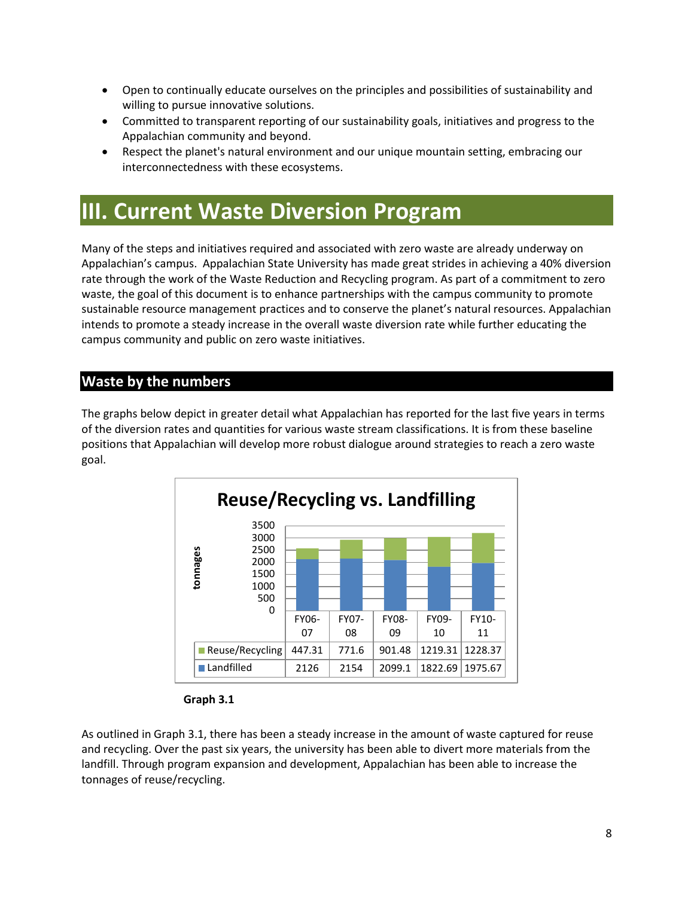- Open to continually educate ourselves on the principles and possibilities of sustainability and willing to pursue innovative solutions.
- Committed to transparent reporting of our sustainability goals, initiatives and progress to the Appalachian community and beyond.
- Respect the planet's natural environment and our unique mountain setting, embracing our interconnectedness with these ecosystems.

### <span id="page-7-0"></span>**III. Current Waste Diversion Program**

Many of the steps and initiatives required and associated with zero waste are already underway on Appalachian's campus. Appalachian State University has made great strides in achieving a 40% diversion rate through the work of the Waste Reduction and Recycling program. As part of a commitment to zero waste, the goal of this document is to enhance partnerships with the campus community to promote sustainable resource management practices and to conserve the planet's natural resources. Appalachian intends to promote a steady increase in the overall waste diversion rate while further educating the campus community and public on zero waste initiatives.

#### <span id="page-7-1"></span>**Waste by the numbers**

The graphs below depict in greater detail what Appalachian has reported for the last five years in terms of the diversion rates and quantities for various waste stream classifications. It is from these baseline positions that Appalachian will develop more robust dialogue around strategies to reach a zero waste goal.



**Graph 3.1**

As outlined in Graph 3.1, there has been a steady increase in the amount of waste captured for reuse and recycling. Over the past six years, the university has been able to divert more materials from the landfill. Through program expansion and development, Appalachian has been able to increase the tonnages of reuse/recycling.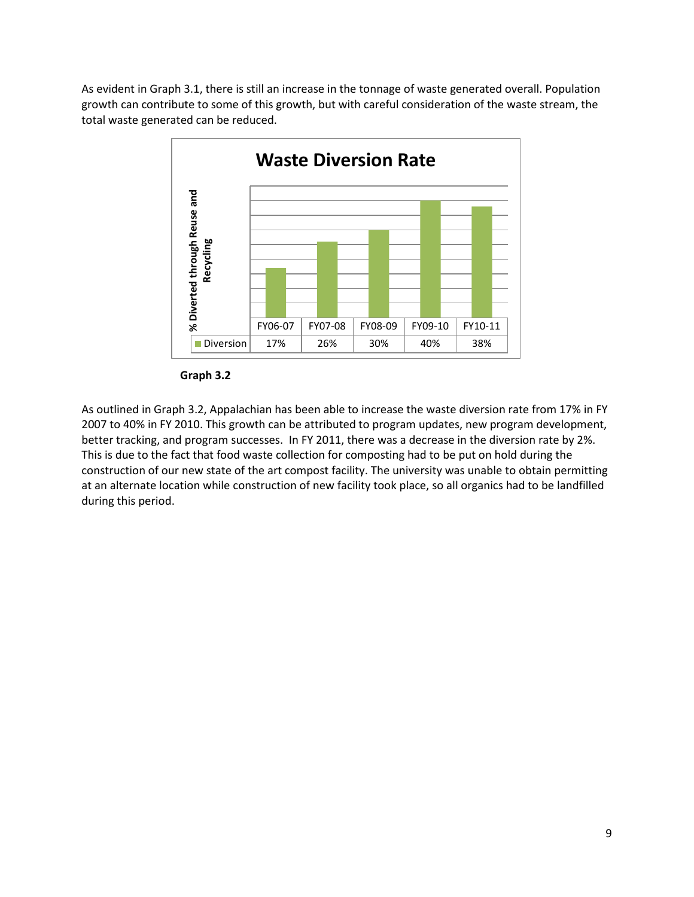As evident in Graph 3.1, there is still an increase in the tonnage of waste generated overall. Population growth can contribute to some of this growth, but with careful consideration of the waste stream, the total waste generated can be reduced.



**Graph 3.2**

As outlined in Graph 3.2, Appalachian has been able to increase the waste diversion rate from 17% in FY 2007 to 40% in FY 2010. This growth can be attributed to program updates, new program development, better tracking, and program successes. In FY 2011, there was a decrease in the diversion rate by 2%. This is due to the fact that food waste collection for composting had to be put on hold during the construction of our new state of the art compost facility. The university was unable to obtain permitting at an alternate location while construction of new facility took place, so all organics had to be landfilled during this period.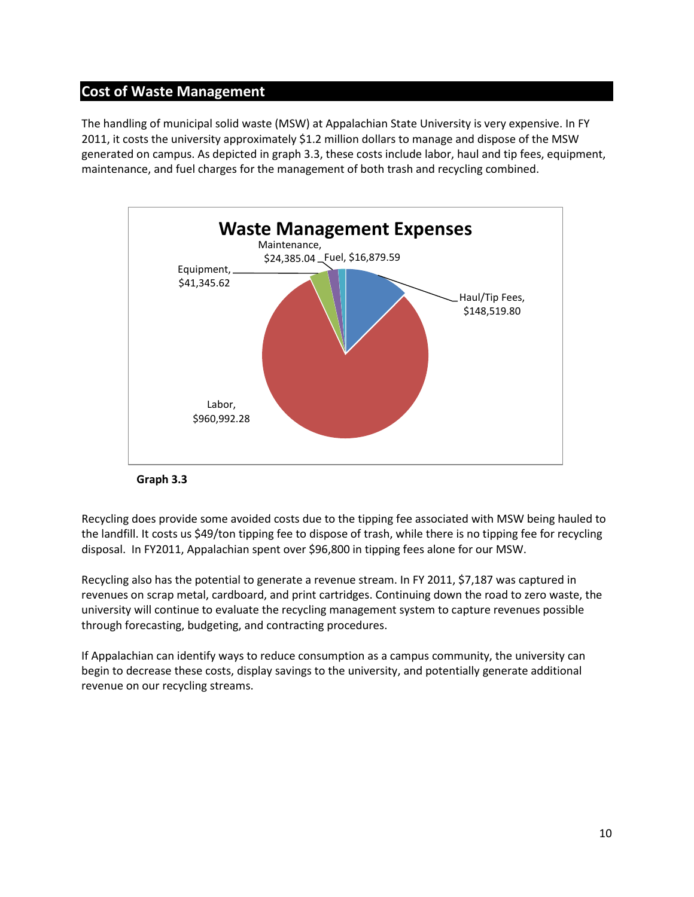#### <span id="page-9-0"></span>**Cost of Waste Management**

The handling of municipal solid waste (MSW) at Appalachian State University is very expensive. In FY 2011, it costs the university approximately \$1.2 million dollars to manage and dispose of the MSW generated on campus. As depicted in graph 3.3, these costs include labor, haul and tip fees, equipment, maintenance, and fuel charges for the management of both trash and recycling combined.





Recycling does provide some avoided costs due to the tipping fee associated with MSW being hauled to the landfill. It costs us \$49/ton tipping fee to dispose of trash, while there is no tipping fee for recycling disposal. In FY2011, Appalachian spent over \$96,800 in tipping fees alone for our MSW.

Recycling also has the potential to generate a revenue stream. In FY 2011, \$7,187 was captured in revenues on scrap metal, cardboard, and print cartridges. Continuing down the road to zero waste, the university will continue to evaluate the recycling management system to capture revenues possible through forecasting, budgeting, and contracting procedures.

If Appalachian can identify ways to reduce consumption as a campus community, the university can begin to decrease these costs, display savings to the university, and potentially generate additional revenue on our recycling streams.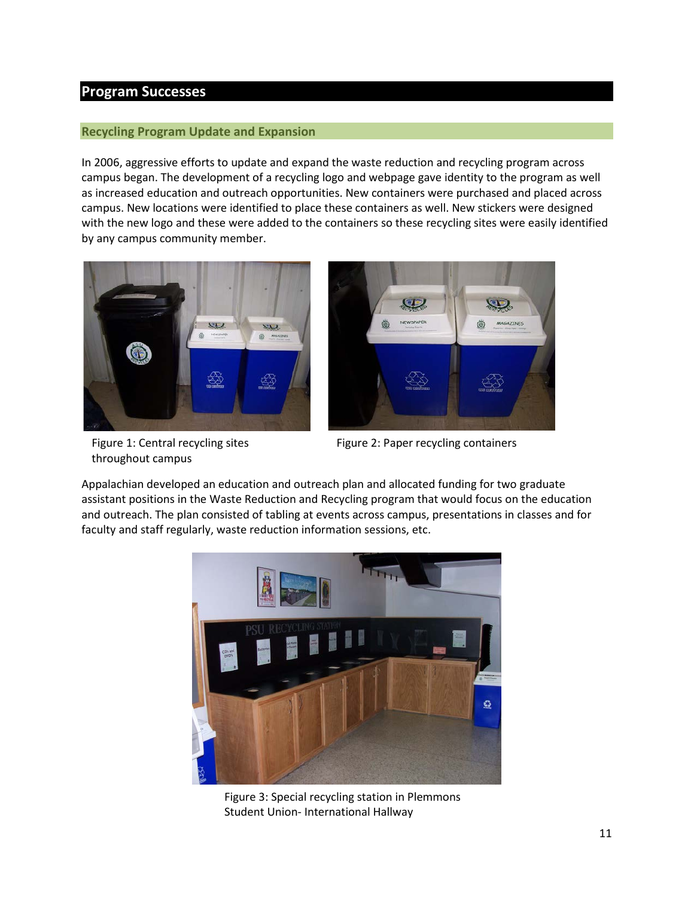#### <span id="page-10-0"></span>**Program Successes**

#### <span id="page-10-1"></span>**Recycling Program Update and Expansion**

In 2006, aggressive efforts to update and expand the waste reduction and recycling program across campus began. The development of a recycling logo and webpage gave identity to the program as well as increased education and outreach opportunities. New containers were purchased and placed across campus. New locations were identified to place these containers as well. New stickers were designed with the new logo and these were added to the containers so these recycling sites were easily identified by any campus community member.





Figure 1: Central recycling sites throughout campus

Figure 2: Paper recycling containers

Appalachian developed an education and outreach plan and allocated funding for two graduate assistant positions in the Waste Reduction and Recycling program that would focus on the education and outreach. The plan consisted of tabling at events across campus, presentations in classes and for faculty and staff regularly, waste reduction information sessions, etc.



Figure 3: Special recycling station in Plemmons Student Union- International Hallway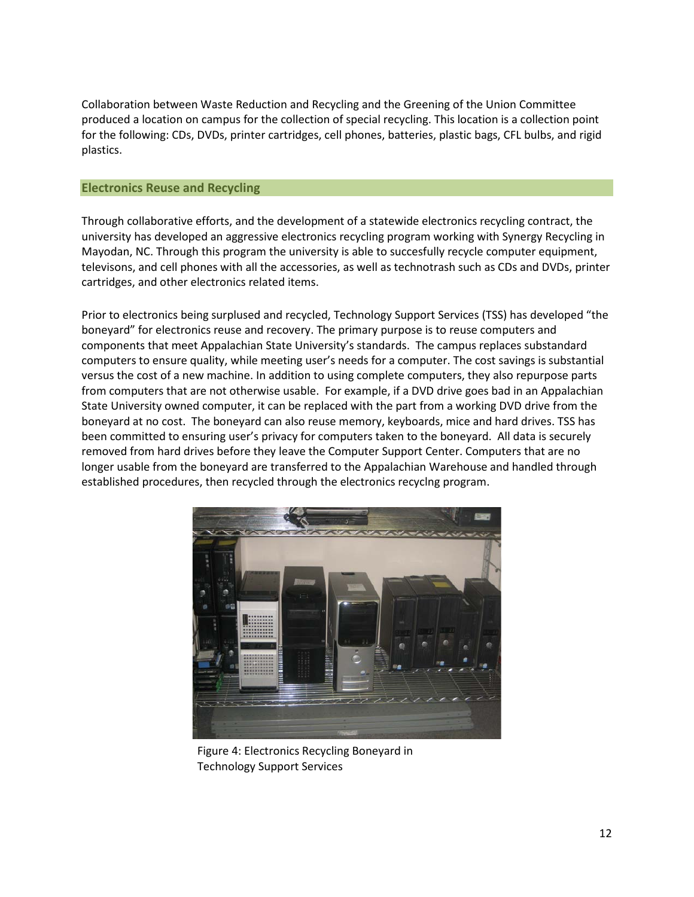Collaboration between Waste Reduction and Recycling and the Greening of the Union Committee produced a location on campus for the collection of special recycling. This location is a collection point for the following: CDs, DVDs, printer cartridges, cell phones, batteries, plastic bags, CFL bulbs, and rigid plastics.

#### <span id="page-11-0"></span>**Electronics Reuse and Recycling**

Through collaborative efforts, and the development of a statewide electronics recycling contract, the university has developed an aggressive electronics recycling program working with Synergy Recycling in Mayodan, NC. Through this program the university is able to succesfully recycle computer equipment, televisons, and cell phones with all the accessories, as well as technotrash such as CDs and DVDs, printer cartridges, and other electronics related items.

Prior to electronics being surplused and recycled, Technology Support Services (TSS) has developed "the boneyard" for electronics reuse and recovery. The primary purpose is to reuse computers and components that meet Appalachian State University's standards. The campus replaces substandard computers to ensure quality, while meeting user's needs for a computer. The cost savings is substantial versus the cost of a new machine. In addition to using complete computers, they also repurpose parts from computers that are not otherwise usable. For example, if a DVD drive goes bad in an Appalachian State University owned computer, it can be replaced with the part from a working DVD drive from the boneyard at no cost. The boneyard can also reuse memory, keyboards, mice and hard drives. TSS has been committed to ensuring user's privacy for computers taken to the boneyard. All data is securely removed from hard drives before they leave the Computer Support Center. Computers that are no longer usable from the boneyard are transferred to the Appalachian Warehouse and handled through established procedures, then recycled through the electronics recyclng program.



Figure 4: Electronics Recycling Boneyard in Technology Support Services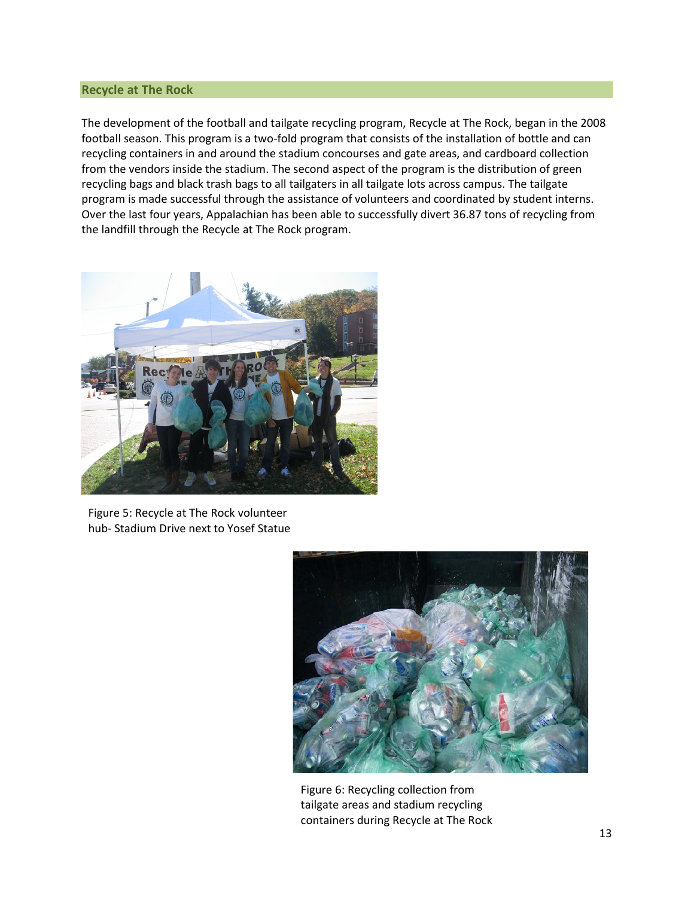#### <span id="page-12-0"></span>**Recycle at The Rock**

The development of the football and tailgate recycling program, Recycle at The Rock, began in the 2008 football season. This program is a two-fold program that consists of the installation of bottle and can recycling containers in and around the stadium concourses and gate areas, and cardboard collection from the vendors inside the stadium. The second aspect of the program is the distribution of green recycling bags and black trash bags to all tailgaters in all tailgate lots across campus. The tailgate program is made successful through the assistance of volunteers and coordinated by student interns. Over the last four years, Appalachian has been able to successfully divert 36.87 tons of recycling from the landfill through the Recycle at The Rock program.



Figure 5: Recycle at The Rock volunteer hub- Stadium Drive next to Yosef Statue



Figure 6: Recycling collection from tailgate areas and stadium recycling containers during Recycle at The Rock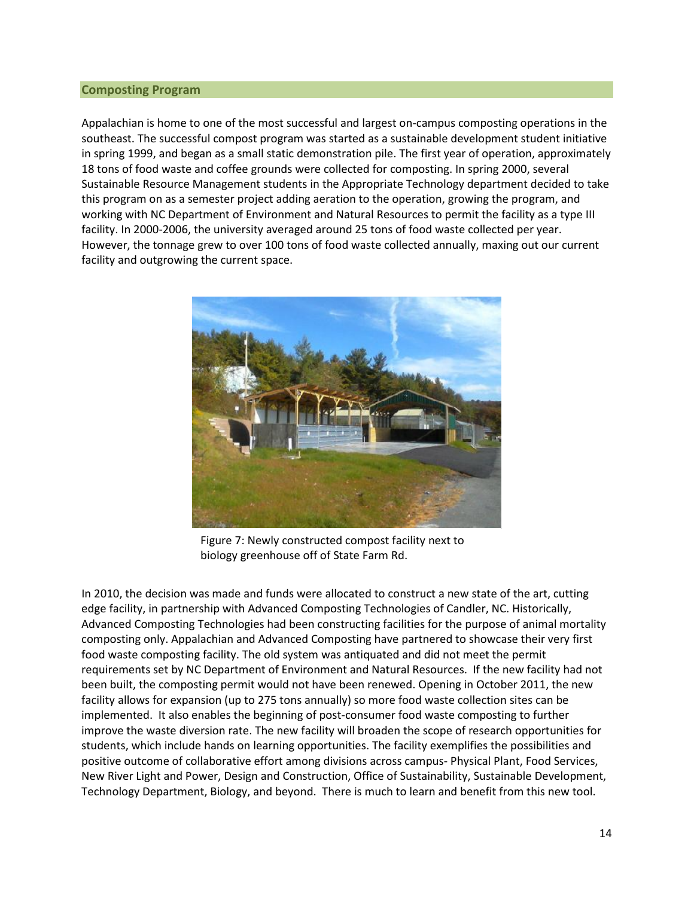#### <span id="page-13-0"></span>**Composting Program**

Appalachian is home to one of the most successful and largest on-campus composting operations in the southeast. The successful compost program was started as a sustainable development student initiative in spring 1999, and began as a small static demonstration pile. The first year of operation, approximately 18 tons of food waste and coffee grounds were collected for composting. In spring 2000, several Sustainable Resource Management students in the Appropriate Technology department decided to take this program on as a semester project adding aeration to the operation, growing the program, and working with NC Department of Environment and Natural Resources to permit the facility as a type III facility. In 2000-2006, the university averaged around 25 tons of food waste collected per year. However, the tonnage grew to over 100 tons of food waste collected annually, maxing out our current facility and outgrowing the current space.



Figure 7: Newly constructed compost facility next to biology greenhouse off of State Farm Rd.

In 2010, the decision was made and funds were allocated to construct a new state of the art, cutting edge facility, in partnership with Advanced Composting Technologies of Candler, NC. Historically, Advanced Composting Technologies had been constructing facilities for the purpose of animal mortality composting only. Appalachian and Advanced Composting have partnered to showcase their very first food waste composting facility. The old system was antiquated and did not meet the permit requirements set by NC Department of Environment and Natural Resources. If the new facility had not been built, the composting permit would not have been renewed. Opening in October 2011, the new facility allows for expansion (up to 275 tons annually) so more food waste collection sites can be implemented. It also enables the beginning of post-consumer food waste composting to further improve the waste diversion rate. The new facility will broaden the scope of research opportunities for students, which include hands on learning opportunities. The facility exemplifies the possibilities and positive outcome of collaborative effort among divisions across campus- Physical Plant, Food Services, New River Light and Power, Design and Construction, Office of Sustainability, Sustainable Development, Technology Department, Biology, and beyond. There is much to learn and benefit from this new tool.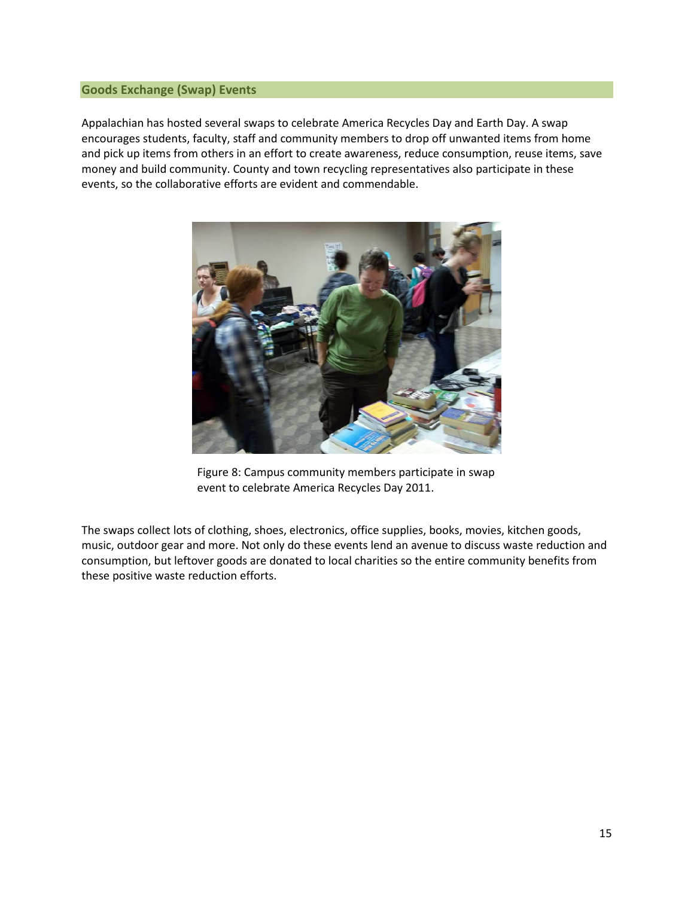#### <span id="page-14-0"></span>**Goods Exchange (Swap) Events**

Appalachian has hosted several swaps to celebrate America Recycles Day and Earth Day. A swap encourages students, faculty, staff and community members to drop off unwanted items from home and pick up items from others in an effort to create awareness, reduce consumption, reuse items, save money and build community. County and town recycling representatives also participate in these events, so the collaborative efforts are evident and commendable.



Figure 8: Campus community members participate in swap event to celebrate America Recycles Day 2011.

The swaps collect lots of clothing, shoes, electronics, office supplies, books, movies, kitchen goods, music, outdoor gear and more. Not only do these events lend an avenue to discuss waste reduction and consumption, but leftover goods are donated to local charities so the entire community benefits from these positive waste reduction efforts.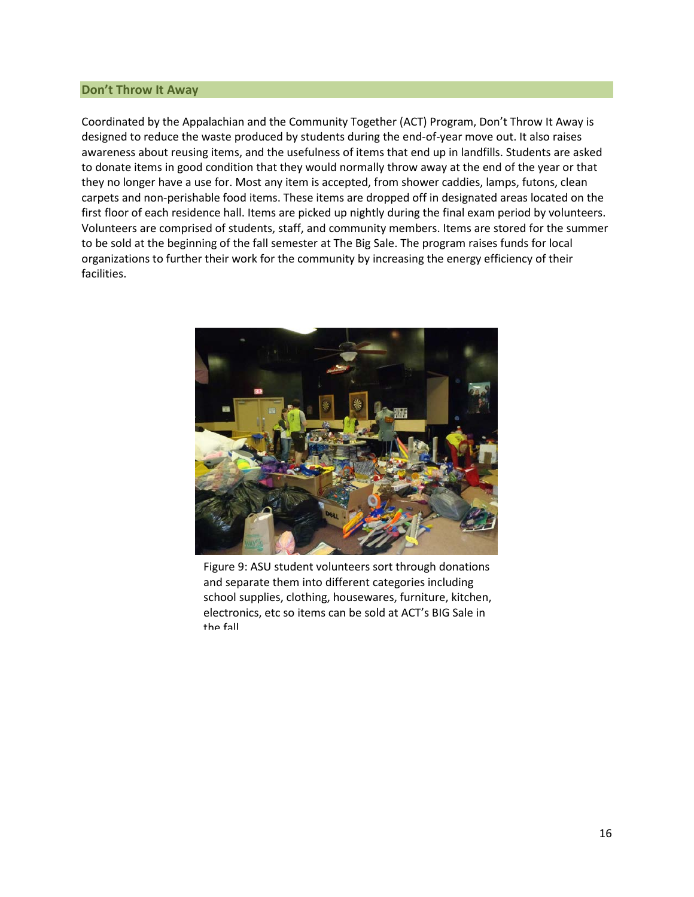#### <span id="page-15-0"></span>**Don't Throw It Away**

Coordinated by the Appalachian and the Community Together (ACT) Program, Don't Throw It Away is designed to reduce the waste produced by students during the end-of-year move out. It also raises awareness about reusing items, and the usefulness of items that end up in landfills. Students are asked to donate items in good condition that they would normally throw away at the end of the year or that they no longer have a use for. Most any item is accepted, from shower caddies, lamps, futons, clean carpets and non-perishable food items. These items are dropped off in designated areas located on the first floor of each residence hall. Items are picked up nightly during the final exam period by volunteers. Volunteers are comprised of students, staff, and community members. Items are stored for the summer to be sold at the beginning of the fall semester at The Big Sale. The program raises funds for local organizations to further their work for the community by increasing the energy efficiency of their facilities.



Figure 9: ASU student volunteers sort through donations and separate them into different categories including school supplies, clothing, housewares, furniture, kitchen, electronics, etc so items can be sold at ACT's BIG Sale in the fall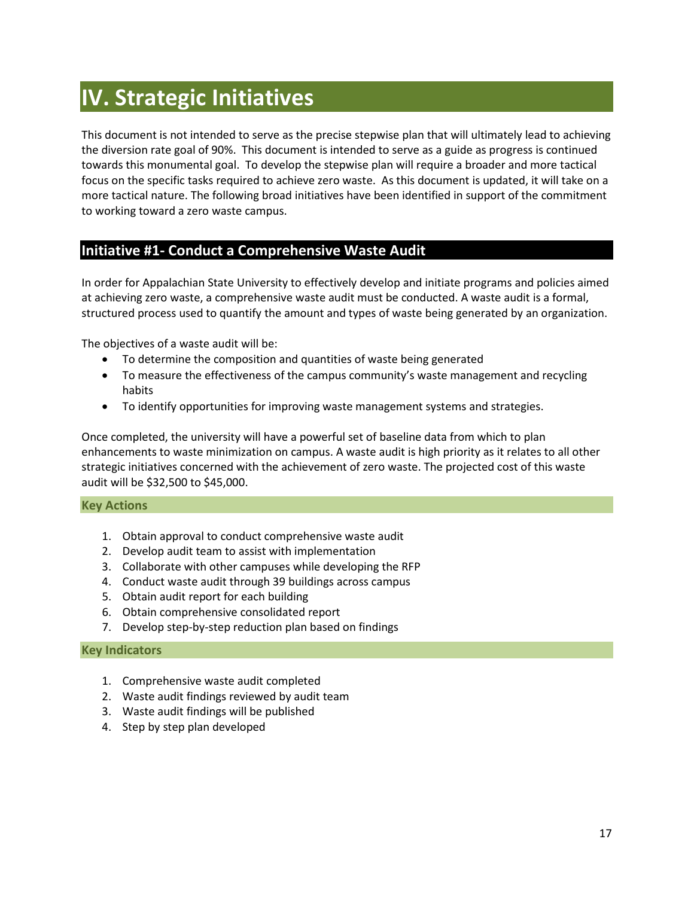## <span id="page-16-0"></span>**IV. Strategic Initiatives**

This document is not intended to serve as the precise stepwise plan that will ultimately lead to achieving the diversion rate goal of 90%. This document is intended to serve as a guide as progress is continued towards this monumental goal. To develop the stepwise plan will require a broader and more tactical focus on the specific tasks required to achieve zero waste. As this document is updated, it will take on a more tactical nature. The following broad initiatives have been identified in support of the commitment to working toward a zero waste campus.

#### <span id="page-16-1"></span>**Initiative #1- Conduct a Comprehensive Waste Audit**

In order for Appalachian State University to effectively develop and initiate programs and policies aimed at achieving zero waste, a comprehensive waste audit must be conducted. A waste audit is a formal, structured process used to quantify the amount and types of waste being generated by an organization.

The objectives of a waste audit will be:

- To determine the composition and quantities of waste being generated
- To measure the effectiveness of the campus community's waste management and recycling habits
- To identify opportunities for improving waste management systems and strategies.

Once completed, the university will have a powerful set of baseline data from which to plan enhancements to waste minimization on campus. A waste audit is high priority as it relates to all other strategic initiatives concerned with the achievement of zero waste. The projected cost of this waste audit will be \$32,500 to \$45,000.

#### <span id="page-16-2"></span>**Key Actions**

- 1. Obtain approval to conduct comprehensive waste audit
- 2. Develop audit team to assist with implementation
- 3. Collaborate with other campuses while developing the RFP
- 4. Conduct waste audit through 39 buildings across campus
- 5. Obtain audit report for each building
- 6. Obtain comprehensive consolidated report
- 7. Develop step-by-step reduction plan based on findings

#### <span id="page-16-3"></span>**Key Indicators**

- 1. Comprehensive waste audit completed
- 2. Waste audit findings reviewed by audit team
- 3. Waste audit findings will be published
- 4. Step by step plan developed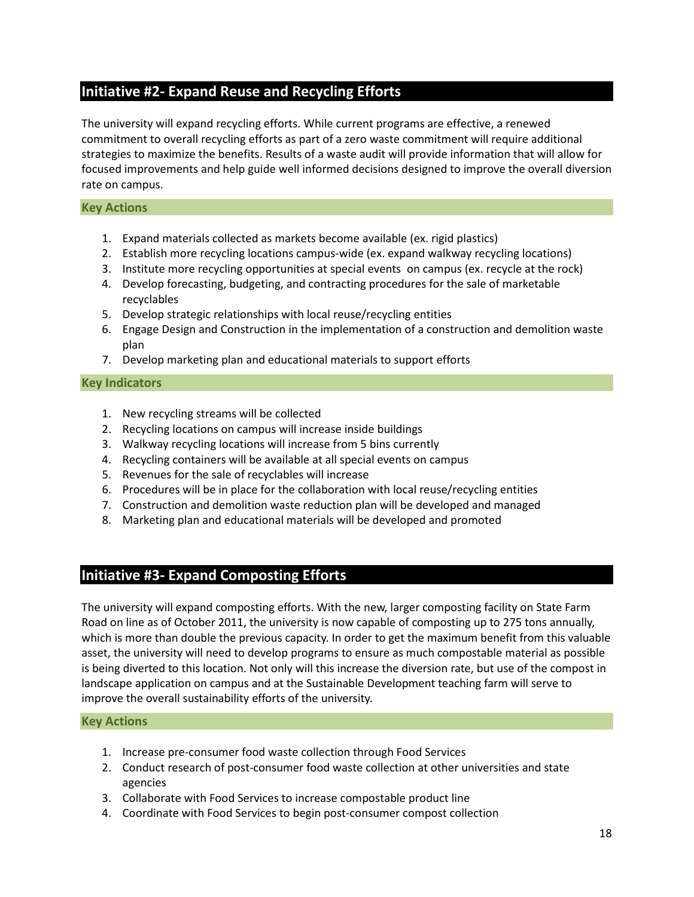#### <span id="page-17-0"></span>**Initiative #2- Expand Reuse and Recycling Efforts**

The university will expand recycling efforts. While current programs are effective, a renewed commitment to overall recycling efforts as part of a zero waste commitment will require additional strategies to maximize the benefits. Results of a waste audit will provide information that will allow for focused improvements and help guide well informed decisions designed to improve the overall diversion rate on campus.

#### <span id="page-17-1"></span>**Key Actions**

- 1. Expand materials collected as markets become available (ex. rigid plastics)
- 2. Establish more recycling locations campus-wide (ex. expand walkway recycling locations)
- 3. Institute more recycling opportunities at special events on campus (ex. recycle at the rock)
- 4. Develop forecasting, budgeting, and contracting procedures for the sale of marketable recyclables
- 5. Develop strategic relationships with local reuse/recycling entities
- 6. Engage Design and Construction in the implementation of a construction and demolition waste plan
- 7. Develop marketing plan and educational materials to support efforts

#### <span id="page-17-2"></span>**Key Indicators**

- 1. New recycling streams will be collected
- 2. Recycling locations on campus will increase inside buildings
- 3. Walkway recycling locations will increase from 5 bins currently
- 4. Recycling containers will be available at all special events on campus
- 5. Revenues for the sale of recyclables will increase
- 6. Procedures will be in place for the collaboration with local reuse/recycling entities
- 7. Construction and demolition waste reduction plan will be developed and managed
- 8. Marketing plan and educational materials will be developed and promoted

#### <span id="page-17-3"></span>**Initiative #3- Expand Composting Efforts**

The university will expand composting efforts. With the new, larger composting facility on State Farm Road on line as of October 2011, the university is now capable of composting up to 275 tons annually, which is more than double the previous capacity. In order to get the maximum benefit from this valuable asset, the university will need to develop programs to ensure as much compostable material as possible is being diverted to this location. Not only will this increase the diversion rate, but use of the compost in landscape application on campus and at the Sustainable Development teaching farm will serve to improve the overall sustainability efforts of the university.

#### <span id="page-17-4"></span>**Key Actions**

- 1. Increase pre-consumer food waste collection through Food Services
- 2. Conduct research of post-consumer food waste collection at other universities and state agencies
- 3. Collaborate with Food Services to increase compostable product line
- 4. Coordinate with Food Services to begin post-consumer compost collection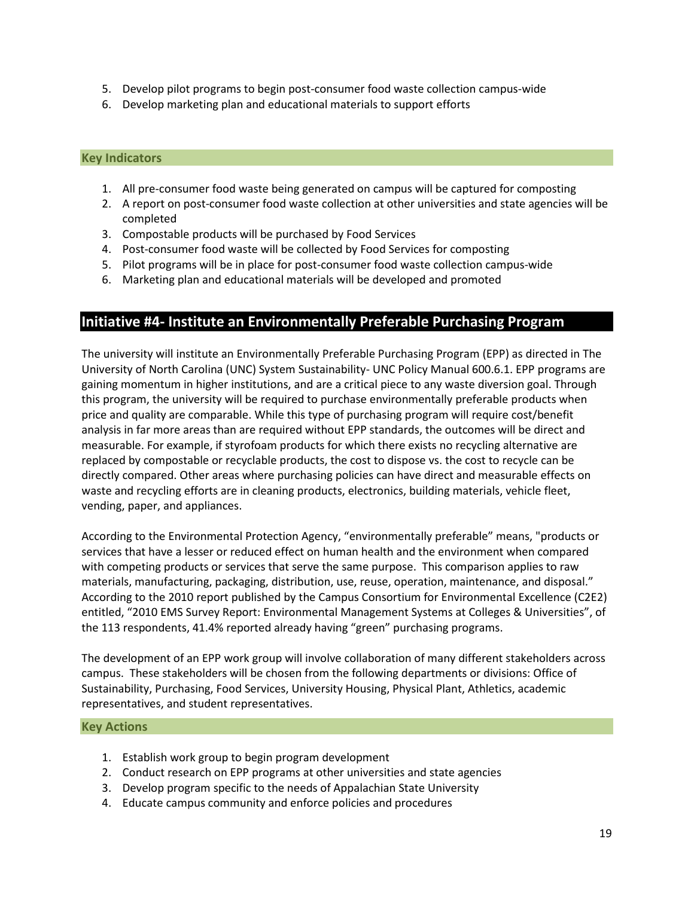- 5. Develop pilot programs to begin post-consumer food waste collection campus-wide
- 6. Develop marketing plan and educational materials to support efforts

#### <span id="page-18-0"></span>**Key Indicators**

- 1. All pre-consumer food waste being generated on campus will be captured for composting
- 2. A report on post-consumer food waste collection at other universities and state agencies will be completed
- 3. Compostable products will be purchased by Food Services
- 4. Post-consumer food waste will be collected by Food Services for composting
- 5. Pilot programs will be in place for post-consumer food waste collection campus-wide
- 6. Marketing plan and educational materials will be developed and promoted

#### <span id="page-18-1"></span>**Initiative #4- Institute an Environmentally Preferable Purchasing Program**

The university will institute an Environmentally Preferable Purchasing Program (EPP) as directed in The University of North Carolina (UNC) System Sustainability- UNC Policy Manual 600.6.1. EPP programs are gaining momentum in higher institutions, and are a critical piece to any waste diversion goal. Through this program, the university will be required to purchase environmentally preferable products when price and quality are comparable. While this type of purchasing program will require cost/benefit analysis in far more areas than are required without EPP standards, the outcomes will be direct and measurable. For example, if styrofoam products for which there exists no recycling alternative are replaced by compostable or recyclable products, the cost to dispose vs. the cost to recycle can be directly compared. Other areas where purchasing policies can have direct and measurable effects on waste and recycling efforts are in cleaning products, electronics, building materials, vehicle fleet, vending, paper, and appliances.

According to the Environmental Protection Agency, "environmentally preferable" means, "products or services that have a lesser or reduced effect on human health and the environment when compared with competing products or services that serve the same purpose. This comparison applies to raw materials, manufacturing, packaging, distribution, use, reuse, operation, maintenance, and disposal." According to the 2010 report published by the Campus Consortium for Environmental Excellence (C2E2) entitled, "2010 EMS Survey Report: Environmental Management Systems at Colleges & Universities", of the 113 respondents, 41.4% reported already having "green" purchasing programs.

The development of an EPP work group will involve collaboration of many different stakeholders across campus. These stakeholders will be chosen from the following departments or divisions: Office of Sustainability, Purchasing, Food Services, University Housing, Physical Plant, Athletics, academic representatives, and student representatives.

#### <span id="page-18-2"></span>**Key Actions**

- 1. Establish work group to begin program development
- 2. Conduct research on EPP programs at other universities and state agencies
- 3. Develop program specific to the needs of Appalachian State University
- 4. Educate campus community and enforce policies and procedures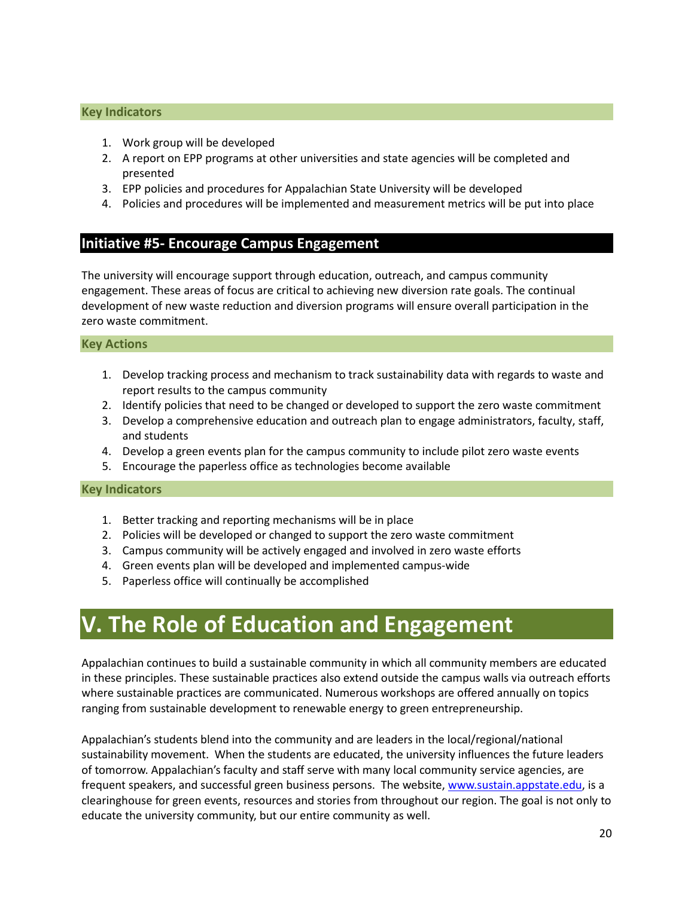#### <span id="page-19-0"></span>**Key Indicators**

- 1. Work group will be developed
- 2. A report on EPP programs at other universities and state agencies will be completed and presented
- 3. EPP policies and procedures for Appalachian State University will be developed
- 4. Policies and procedures will be implemented and measurement metrics will be put into place

#### <span id="page-19-1"></span>**Initiative #5- Encourage Campus Engagement**

The university will encourage support through education, outreach, and campus community engagement. These areas of focus are critical to achieving new diversion rate goals. The continual development of new waste reduction and diversion programs will ensure overall participation in the zero waste commitment.

#### <span id="page-19-2"></span>**Key Actions**

- 1. Develop tracking process and mechanism to track sustainability data with regards to waste and report results to the campus community
- 2. Identify policies that need to be changed or developed to support the zero waste commitment
- 3. Develop a comprehensive education and outreach plan to engage administrators, faculty, staff, and students
- 4. Develop a green events plan for the campus community to include pilot zero waste events
- 5. Encourage the paperless office as technologies become available

#### <span id="page-19-3"></span>**Key Indicators**

- 1. Better tracking and reporting mechanisms will be in place
- 2. Policies will be developed or changed to support the zero waste commitment
- 3. Campus community will be actively engaged and involved in zero waste efforts
- 4. Green events plan will be developed and implemented campus-wide
- 5. Paperless office will continually be accomplished

### <span id="page-19-4"></span>**V. The Role of Education and Engagement**

Appalachian continues to build a sustainable community in which all community members are educated in these principles. These sustainable practices also extend outside the campus walls via outreach efforts where sustainable practices are communicated. Numerous workshops are offered annually on topics ranging from sustainable development to renewable energy to green entrepreneurship.

Appalachian's students blend into the community and are leaders in the local/regional/national sustainability movement. When the students are educated, the university influences the future leaders of tomorrow. Appalachian's faculty and staff serve with many local community service agencies, are frequent speakers, and successful green business persons. The website, www.sustain.appstate.edu, is a clearinghouse for green events, resources and stories from throughout our region. The goal is not only to educate the university community, but our entire community as well.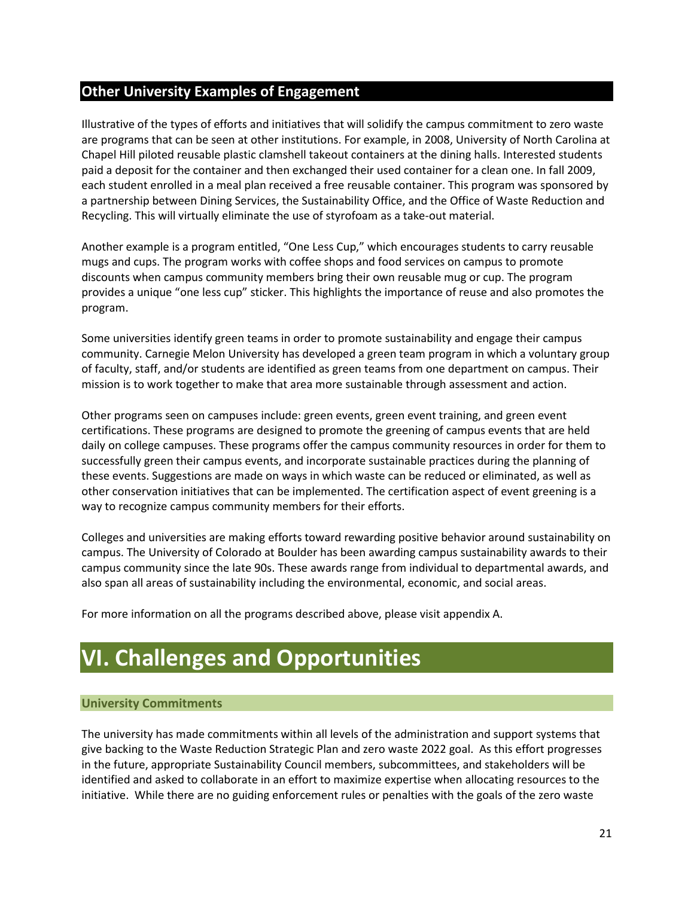#### <span id="page-20-0"></span>**Other University Examples of Engagement**

Illustrative of the types of efforts and initiatives that will solidify the campus commitment to zero waste are programs that can be seen at other institutions. For example, in 2008, University of North Carolina at Chapel Hill piloted reusable plastic clamshell takeout containers at the dining halls. Interested students paid a deposit for the container and then exchanged their used container for a clean one. In fall 2009, each student enrolled in a meal plan received a free reusable container. This program was sponsored by a partnership between Dining Services, the Sustainability Office, and the Office of Waste Reduction and Recycling. This will virtually eliminate the use of styrofoam as a take-out material.

Another example is a program entitled, "One Less Cup," which encourages students to carry reusable mugs and cups. The program works with coffee shops and food services on campus to promote discounts when campus community members bring their own reusable mug or cup. The program provides a unique "one less cup" sticker. This highlights the importance of reuse and also promotes the program.

Some universities identify green teams in order to promote sustainability and engage their campus community. Carnegie Melon University has developed a green team program in which a voluntary group of faculty, staff, and/or students are identified as green teams from one department on campus. Their mission is to work together to make that area more sustainable through assessment and action.

Other programs seen on campuses include: green events, green event training, and green event certifications. These programs are designed to promote the greening of campus events that are held daily on college campuses. These programs offer the campus community resources in order for them to successfully green their campus events, and incorporate sustainable practices during the planning of these events. Suggestions are made on ways in which waste can be reduced or eliminated, as well as other conservation initiatives that can be implemented. The certification aspect of event greening is a way to recognize campus community members for their efforts.

Colleges and universities are making efforts toward rewarding positive behavior around sustainability on campus. The University of Colorado at Boulder has been awarding campus sustainability awards to their campus community since the late 90s. These awards range from individual to departmental awards, and also span all areas of sustainability including the environmental, economic, and social areas.

<span id="page-20-1"></span>For more information on all the programs described above, please visit appendix A.

### **VI. Challenges and Opportunities**

#### <span id="page-20-2"></span>**University Commitments**

The university has made commitments within all levels of the administration and support systems that give backing to the Waste Reduction Strategic Plan and zero waste 2022 goal. As this effort progresses in the future, appropriate Sustainability Council members, subcommittees, and stakeholders will be identified and asked to collaborate in an effort to maximize expertise when allocating resources to the initiative. While there are no guiding enforcement rules or penalties with the goals of the zero waste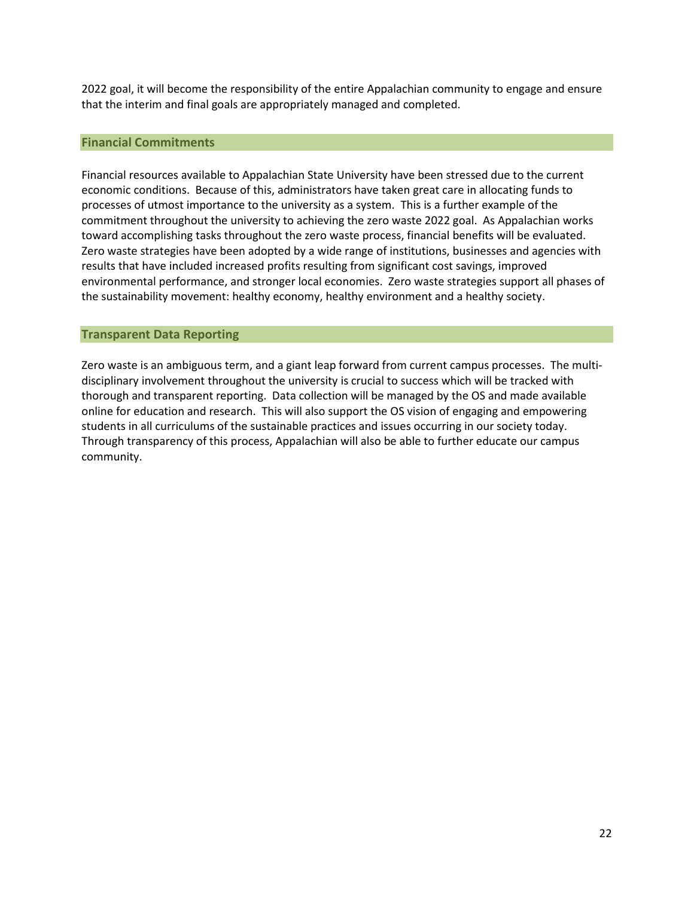2022 goal, it will become the responsibility of the entire Appalachian community to engage and ensure that the interim and final goals are appropriately managed and completed.

#### <span id="page-21-0"></span>**Financial Commitments**

Financial resources available to Appalachian State University have been stressed due to the current economic conditions. Because of this, administrators have taken great care in allocating funds to processes of utmost importance to the university as a system. This is a further example of the commitment throughout the university to achieving the zero waste 2022 goal. As Appalachian works toward accomplishing tasks throughout the zero waste process, financial benefits will be evaluated. Zero waste strategies have been adopted by a wide range of institutions, businesses and agencies with results that have included increased profits resulting from significant cost savings, improved environmental performance, and stronger local economies. Zero waste strategies support all phases of the sustainability movement: healthy economy, healthy environment and a healthy society.

#### <span id="page-21-1"></span>**Transparent Data Reporting**

Zero waste is an ambiguous term, and a giant leap forward from current campus processes. The multidisciplinary involvement throughout the university is crucial to success which will be tracked with thorough and transparent reporting. Data collection will be managed by the OS and made available online for education and research. This will also support the OS vision of engaging and empowering students in all curriculums of the sustainable practices and issues occurring in our society today. Through transparency of this process, Appalachian will also be able to further educate our campus community.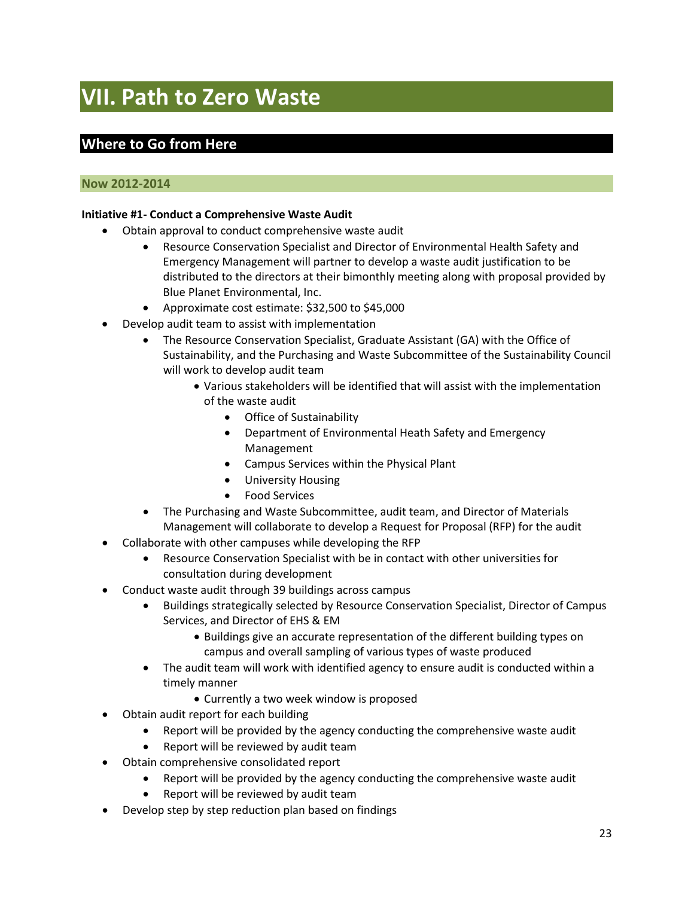# <span id="page-22-0"></span>**VII. Path to Zero Waste**

#### <span id="page-22-1"></span>**Where to Go from Here**

#### <span id="page-22-2"></span>**Now 2012-2014**

#### **Initiative #1- Conduct a Comprehensive Waste Audit**

- Obtain approval to conduct comprehensive waste audit
	- Resource Conservation Specialist and Director of Environmental Health Safety and Emergency Management will partner to develop a waste audit justification to be distributed to the directors at their bimonthly meeting along with proposal provided by Blue Planet Environmental, Inc.
	- Approximate cost estimate: \$32,500 to \$45,000
- Develop audit team to assist with implementation
	- The Resource Conservation Specialist, Graduate Assistant (GA) with the Office of Sustainability, and the Purchasing and Waste Subcommittee of the Sustainability Council will work to develop audit team
		- Various stakeholders will be identified that will assist with the implementation of the waste audit
			- Office of Sustainability
			- Department of Environmental Heath Safety and Emergency Management
			- Campus Services within the Physical Plant
			- University Housing
			- Food Services
	- The Purchasing and Waste Subcommittee, audit team, and Director of Materials Management will collaborate to develop a Request for Proposal (RFP) for the audit
- Collaborate with other campuses while developing the RFP
	- Resource Conservation Specialist with be in contact with other universities for consultation during development
- Conduct waste audit through 39 buildings across campus
	- Buildings strategically selected by Resource Conservation Specialist, Director of Campus Services, and Director of EHS & EM
		- Buildings give an accurate representation of the different building types on campus and overall sampling of various types of waste produced
	- The audit team will work with identified agency to ensure audit is conducted within a timely manner
		- Currently a two week window is proposed
- Obtain audit report for each building
	- Report will be provided by the agency conducting the comprehensive waste audit
	- Report will be reviewed by audit team
- Obtain comprehensive consolidated report
	- Report will be provided by the agency conducting the comprehensive waste audit
	- Report will be reviewed by audit team
- Develop step by step reduction plan based on findings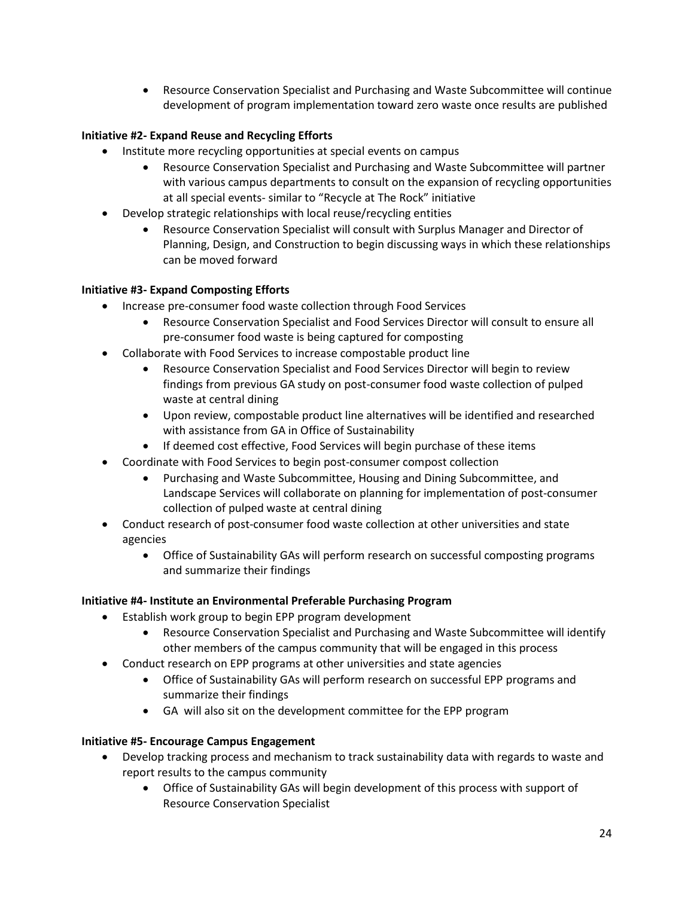• Resource Conservation Specialist and Purchasing and Waste Subcommittee will continue development of program implementation toward zero waste once results are published

#### **Initiative #2- Expand Reuse and Recycling Efforts**

- Institute more recycling opportunities at special events on campus
	- Resource Conservation Specialist and Purchasing and Waste Subcommittee will partner with various campus departments to consult on the expansion of recycling opportunities at all special events- similar to "Recycle at The Rock" initiative
- Develop strategic relationships with local reuse/recycling entities
	- Resource Conservation Specialist will consult with Surplus Manager and Director of Planning, Design, and Construction to begin discussing ways in which these relationships can be moved forward

#### **Initiative #3- Expand Composting Efforts**

- Increase pre-consumer food waste collection through Food Services
	- Resource Conservation Specialist and Food Services Director will consult to ensure all pre-consumer food waste is being captured for composting
- Collaborate with Food Services to increase compostable product line
	- Resource Conservation Specialist and Food Services Director will begin to review findings from previous GA study on post-consumer food waste collection of pulped waste at central dining
	- Upon review, compostable product line alternatives will be identified and researched with assistance from GA in Office of Sustainability
	- If deemed cost effective, Food Services will begin purchase of these items
- Coordinate with Food Services to begin post-consumer compost collection
	- Purchasing and Waste Subcommittee, Housing and Dining Subcommittee, and Landscape Services will collaborate on planning for implementation of post-consumer collection of pulped waste at central dining
- Conduct research of post-consumer food waste collection at other universities and state agencies
	- Office of Sustainability GAs will perform research on successful composting programs and summarize their findings

#### **Initiative #4- Institute an Environmental Preferable Purchasing Program**

- Establish work group to begin EPP program development
	- Resource Conservation Specialist and Purchasing and Waste Subcommittee will identify other members of the campus community that will be engaged in this process
- Conduct research on EPP programs at other universities and state agencies
	- Office of Sustainability GAs will perform research on successful EPP programs and summarize their findings
	- GA will also sit on the development committee for the EPP program

#### **Initiative #5- Encourage Campus Engagement**

- Develop tracking process and mechanism to track sustainability data with regards to waste and report results to the campus community
	- Office of Sustainability GAs will begin development of this process with support of Resource Conservation Specialist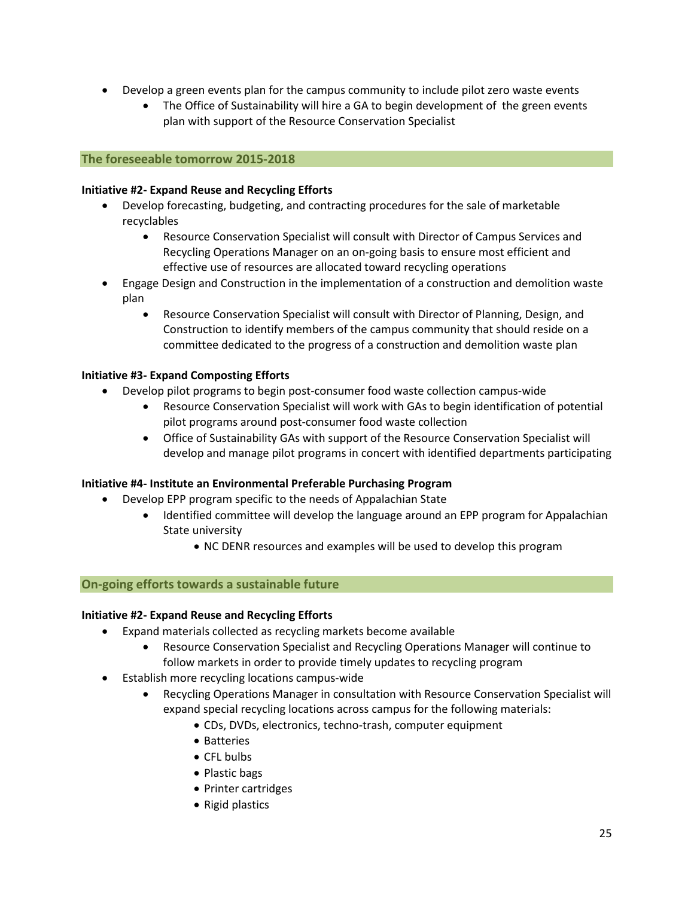- Develop a green events plan for the campus community to include pilot zero waste events
	- The Office of Sustainability will hire a GA to begin development of the green events plan with support of the Resource Conservation Specialist

#### <span id="page-24-0"></span>**The foreseeable tomorrow 2015-2018**

#### **Initiative #2- Expand Reuse and Recycling Efforts**

- Develop forecasting, budgeting, and contracting procedures for the sale of marketable recyclables
	- Resource Conservation Specialist will consult with Director of Campus Services and Recycling Operations Manager on an on-going basis to ensure most efficient and effective use of resources are allocated toward recycling operations
- Engage Design and Construction in the implementation of a construction and demolition waste plan
	- Resource Conservation Specialist will consult with Director of Planning, Design, and Construction to identify members of the campus community that should reside on a committee dedicated to the progress of a construction and demolition waste plan

#### **Initiative #3- Expand Composting Efforts**

- Develop pilot programs to begin post-consumer food waste collection campus-wide
	- Resource Conservation Specialist will work with GAs to begin identification of potential pilot programs around post-consumer food waste collection
	- Office of Sustainability GAs with support of the Resource Conservation Specialist will develop and manage pilot programs in concert with identified departments participating

#### **Initiative #4- Institute an Environmental Preferable Purchasing Program**

- Develop EPP program specific to the needs of Appalachian State
	- Identified committee will develop the language around an EPP program for Appalachian State university
		- NC DENR resources and examples will be used to develop this program

#### <span id="page-24-1"></span>**On-going efforts towards a sustainable future**

#### **Initiative #2- Expand Reuse and Recycling Efforts**

- Expand materials collected as recycling markets become available
	- Resource Conservation Specialist and Recycling Operations Manager will continue to follow markets in order to provide timely updates to recycling program
- Establish more recycling locations campus-wide
	- Recycling Operations Manager in consultation with Resource Conservation Specialist will expand special recycling locations across campus for the following materials:
		- CDs, DVDs, electronics, techno-trash, computer equipment
		- Batteries
		- CFL bulbs
		- Plastic bags
		- Printer cartridges
		- Rigid plastics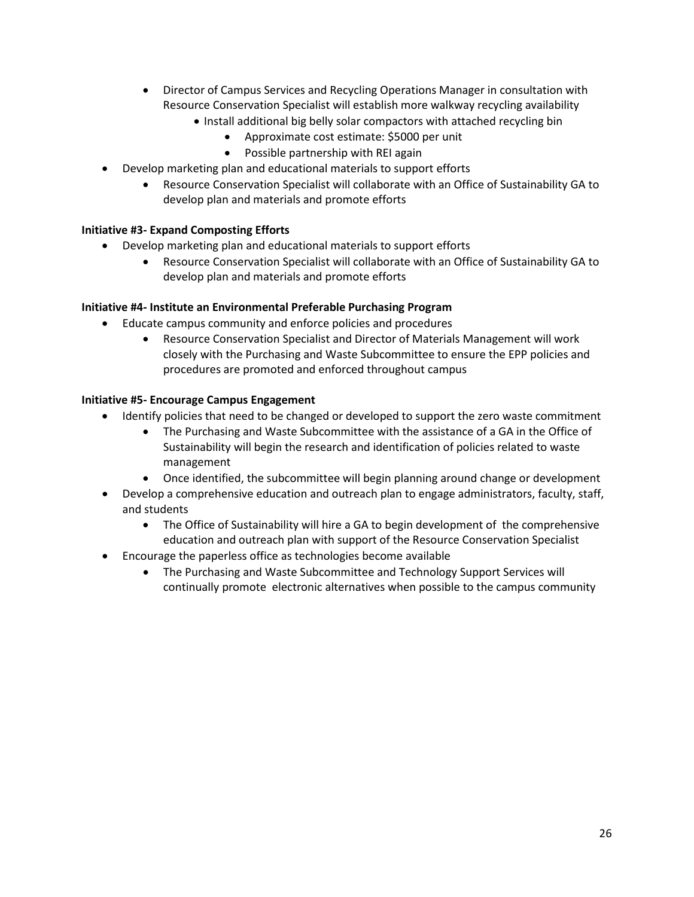- Director of Campus Services and Recycling Operations Manager in consultation with Resource Conservation Specialist will establish more walkway recycling availability
	- Install additional big belly solar compactors with attached recycling bin
		- Approximate cost estimate: \$5000 per unit
		- Possible partnership with REI again
- Develop marketing plan and educational materials to support efforts
	- Resource Conservation Specialist will collaborate with an Office of Sustainability GA to develop plan and materials and promote efforts

#### **Initiative #3- Expand Composting Efforts**

- Develop marketing plan and educational materials to support efforts
	- Resource Conservation Specialist will collaborate with an Office of Sustainability GA to develop plan and materials and promote efforts

#### **Initiative #4- Institute an Environmental Preferable Purchasing Program**

- Educate campus community and enforce policies and procedures
	- Resource Conservation Specialist and Director of Materials Management will work closely with the Purchasing and Waste Subcommittee to ensure the EPP policies and procedures are promoted and enforced throughout campus

#### **Initiative #5- Encourage Campus Engagement**

- Identify policies that need to be changed or developed to support the zero waste commitment
	- The Purchasing and Waste Subcommittee with the assistance of a GA in the Office of Sustainability will begin the research and identification of policies related to waste management
	- Once identified, the subcommittee will begin planning around change or development
- Develop a comprehensive education and outreach plan to engage administrators, faculty, staff, and students
	- The Office of Sustainability will hire a GA to begin development of the comprehensive education and outreach plan with support of the Resource Conservation Specialist
- Encourage the paperless office as technologies become available
	- The Purchasing and Waste Subcommittee and Technology Support Services will continually promote electronic alternatives when possible to the campus community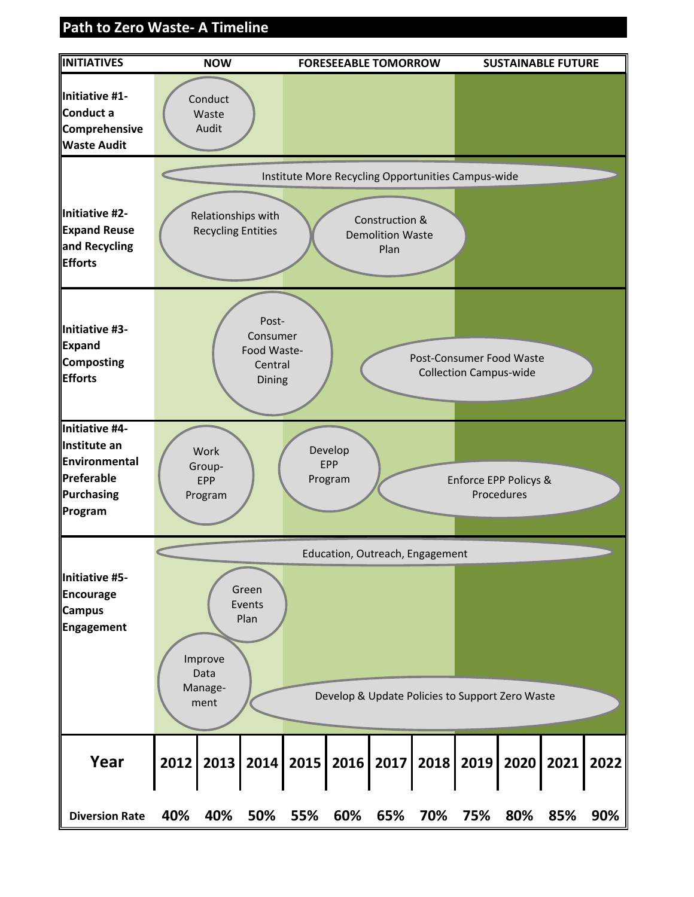#### **Path to Zero Waste‐ A Timeline**

<span id="page-26-0"></span>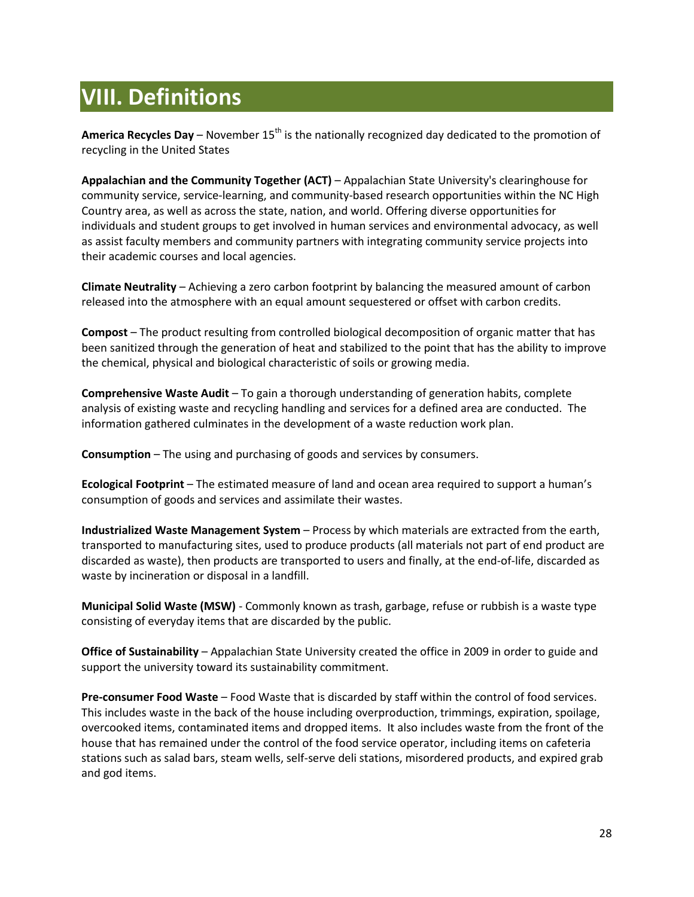## <span id="page-27-0"></span>**VIII. Definitions**

America Recycles Day – November 15<sup>th</sup> is the nationally recognized day dedicated to the promotion of recycling in the United States

**Appalachian and the Community Together (ACT)** – Appalachian State University's clearinghouse for community service, service-learning, and community-based research opportunities within the NC High Country area, as well as across the state, nation, and world. Offering diverse opportunities for individuals and student groups to get involved in human services and environmental advocacy, as well as assist faculty members and community partners with integrating community service projects into their academic courses and local agencies.

**Climate Neutrality** – Achieving a zero carbon footprint by balancing the measured amount of carbon released into the atmosphere with an equal amount sequestered or offset with carbon credits.

**Compost** – The product resulting from controlled biological decomposition of organic matter that has been sanitized through the generation of heat and stabilized to the point that has the ability to improve the chemical, physical and biological characteristic of soils or growing media.

**Comprehensive Waste Audit** – To gain a thorough understanding of generation habits, complete analysis of existing waste and recycling handling and services for a defined area are conducted. The information gathered culminates in the development of a waste reduction work plan.

**Consumption** – The using and purchasing of goods and services by consumers.

**Ecological Footprint** – The estimated measure of land and ocean area required to support a human's consumption of goods and services and assimilate their wastes.

**Industrialized Waste Management System** – Process by which materials are extracted from the earth, transported to manufacturing sites, used to produce products (all materials not part of end product are discarded as waste), then products are transported to users and finally, at the end-of-life, discarded as waste by incineration or disposal in a landfill.

**Municipal Solid Waste (MSW)** - Commonly known as trash, garbage, refuse or rubbish is a waste type consisting of everyday items that are discarded by the public.

**Office of Sustainability** – Appalachian State University created the office in 2009 in order to guide and support the university toward its sustainability commitment.

**Pre-consumer Food Waste** – Food Waste that is discarded by staff within the control of food services. This includes waste in the back of the house including overproduction, trimmings, expiration, spoilage, overcooked items, contaminated items and dropped items. It also includes waste from the front of the house that has remained under the control of the food service operator, including items on cafeteria stations such as salad bars, steam wells, self-serve deli stations, misordered products, and expired grab and god items.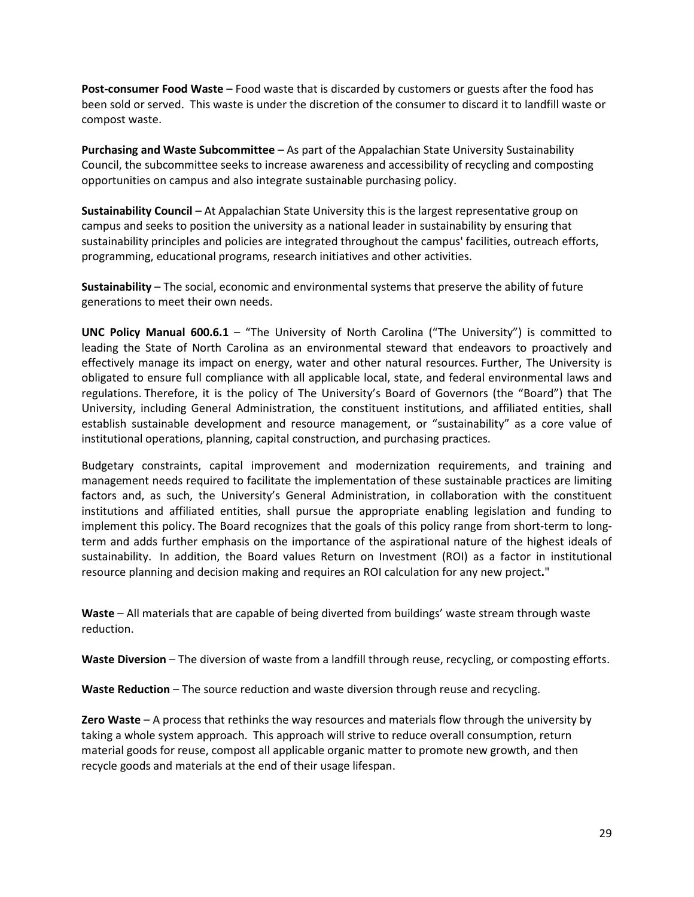**Post-consumer Food Waste** – Food waste that is discarded by customers or guests after the food has been sold or served. This waste is under the discretion of the consumer to discard it to landfill waste or compost waste.

**Purchasing and Waste Subcommittee** – As part of the Appalachian State University Sustainability Council, the subcommittee seeks to increase awareness and accessibility of recycling and composting opportunities on campus and also integrate sustainable purchasing policy.

**Sustainability Council** – At Appalachian State University this is the largest representative group on campus and seeks to position the university as a national leader in sustainability by ensuring that sustainability principles and policies are integrated throughout the campus' facilities, outreach efforts, programming, educational programs, research initiatives and other activities.

**Sustainability** – The social, economic and environmental systems that preserve the ability of future generations to meet their own needs.

**UNC Policy Manual 600.6.1** – "The University of North Carolina ("The University") is committed to leading the State of North Carolina as an environmental steward that endeavors to proactively and effectively manage its impact on energy, water and other natural resources. Further, The University is obligated to ensure full compliance with all applicable local, state, and federal environmental laws and regulations. Therefore, it is the policy of The University's Board of Governors (the "Board") that The University, including General Administration, the constituent institutions, and affiliated entities, shall establish sustainable development and resource management, or "sustainability" as a core value of institutional operations, planning, capital construction, and purchasing practices.

Budgetary constraints, capital improvement and modernization requirements, and training and management needs required to facilitate the implementation of these sustainable practices are limiting factors and, as such, the University's General Administration, in collaboration with the constituent institutions and affiliated entities, shall pursue the appropriate enabling legislation and funding to implement this policy. The Board recognizes that the goals of this policy range from short-term to longterm and adds further emphasis on the importance of the aspirational nature of the highest ideals of sustainability. In addition, the Board values Return on Investment (ROI) as a factor in institutional resource planning and decision making and requires an ROI calculation for any new project**.**"

**Waste** – All materials that are capable of being diverted from buildings' waste stream through waste reduction.

**Waste Diversion** – The diversion of waste from a landfill through reuse, recycling, or composting efforts.

**Waste Reduction** – The source reduction and waste diversion through reuse and recycling.

**Zero Waste** – A process that rethinks the way resources and materials flow through the university by taking a whole system approach. This approach will strive to reduce overall consumption, return material goods for reuse, compost all applicable organic matter to promote new growth, and then recycle goods and materials at the end of their usage lifespan.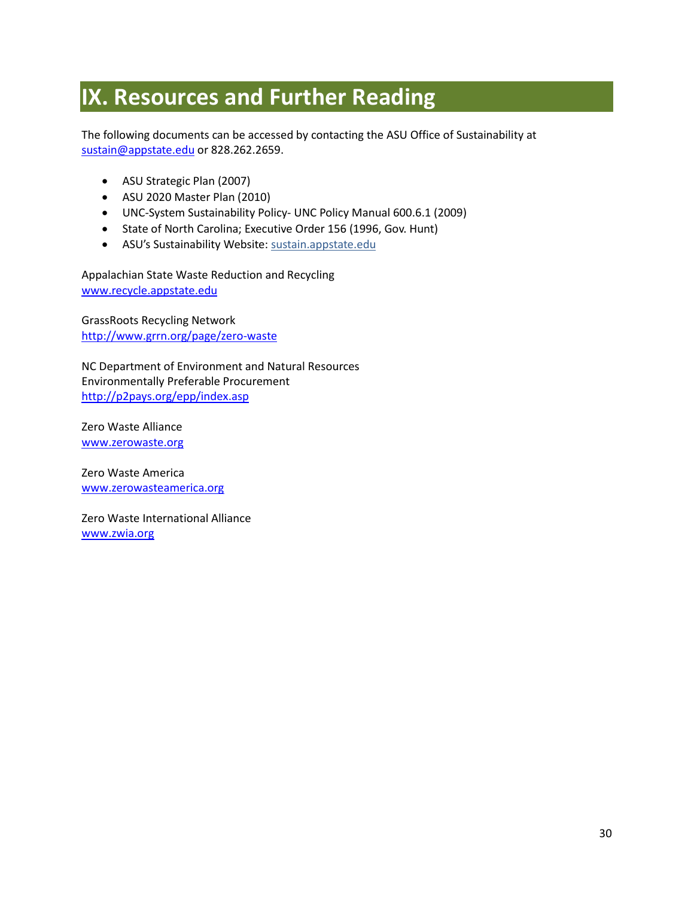### <span id="page-29-0"></span>**IX. Resources and Further Reading**

The following documents can be accessed by contacting the ASU Office of Sustainability at [sustain@appstate.edu](mailto:sustain@appstate.edu) or 828.262.2659.

- ASU Strategic Plan (2007)
- ASU 2020 Master Plan (2010)
- UNC-System Sustainability Policy- UNC Policy Manual 600.6.1 (2009)
- State of North Carolina; Executive Order 156 (1996, Gov. Hunt)
- ASU's Sustainability Website: sustain.appstate.edu

Appalachian State Waste Reduction and Recycling [www.recycle.appstate.edu](http://www.recycle.appstate.edu/)

GrassRoots Recycling Network <http://www.grrn.org/page/zero-waste>

NC Department of Environment and Natural Resources Environmentally Preferable Procurement <http://p2pays.org/epp/index.asp>

Zero Waste Alliance [www.zerowaste.org](http://www.zerowaste.org/)

Zero Waste America [www.zerowasteamerica.org](http://www.zerowasteamerica.org/)

Zero Waste International Alliance [www.zwia.org](http://www.zwia.org/)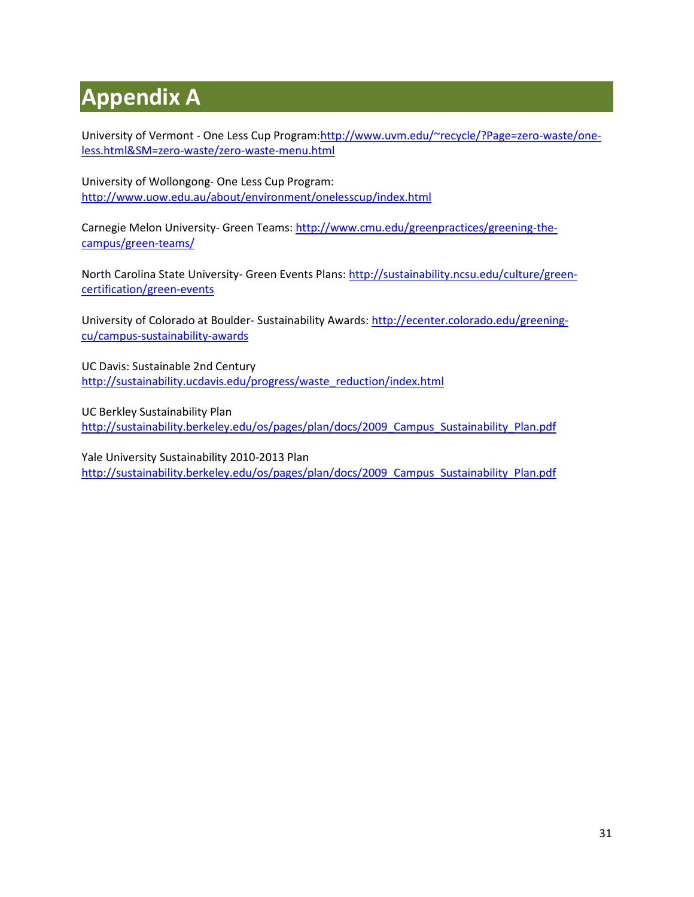# <span id="page-30-0"></span>**Appendix A**

University of Vermont - One Less Cup Program[:http://www.uvm.edu/~recycle/?Page=zero-waste/one](http://www.uvm.edu/~recycle/?Page=zero-waste/one-less.html&SM=zero-waste/zero-waste-menu.html)[less.html&SM=zero-waste/zero-waste-menu.html](http://www.uvm.edu/~recycle/?Page=zero-waste/one-less.html&SM=zero-waste/zero-waste-menu.html)

University of Wollongong- One Less Cup Program: <http://www.uow.edu.au/about/environment/onelesscup/index.html>

Carnegie Melon University- Green Teams: [http://www.cmu.edu/greenpractices/greening-the](http://www.cmu.edu/greenpractices/greening-the-campus/green-teams/)[campus/green-teams/](http://www.cmu.edu/greenpractices/greening-the-campus/green-teams/)

North Carolina State University- Green Events Plans[: http://sustainability.ncsu.edu/culture/green](http://sustainability.ncsu.edu/culture/green-certification/green-events)[certification/green-events](http://sustainability.ncsu.edu/culture/green-certification/green-events)

University of Colorado at Boulder- Sustainability Awards: [http://ecenter.colorado.edu/greening](http://ecenter.colorado.edu/greening-cu/campus-sustainability-awards)[cu/campus-sustainability-awards](http://ecenter.colorado.edu/greening-cu/campus-sustainability-awards)

UC Davis: Sustainable 2nd Century [http://sustainability.ucdavis.edu/progress/waste\\_reduction/index.html](http://sustainability.ucdavis.edu/progress/waste_reduction/index.html)

UC Berkley Sustainability Plan [http://sustainability.berkeley.edu/os/pages/plan/docs/2009\\_Campus\\_Sustainability\\_Plan.pdf](http://sustainability.berkeley.edu/os/pages/plan/docs/2009_Campus_Sustainability_Plan.pdf)

Yale University Sustainability 2010-2013 Plan [http://sustainability.berkeley.edu/os/pages/plan/docs/2009\\_Campus\\_Sustainability\\_Plan.pdf](http://sustainability.berkeley.edu/os/pages/plan/docs/2009_Campus_Sustainability_Plan.pdf)